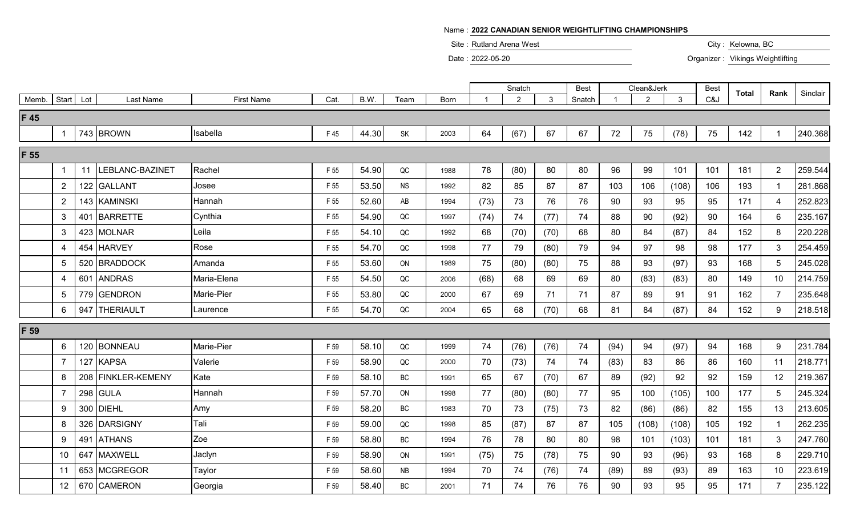Name : **2022 CANADIAN SENIOR WEIGHTLIFTING CHAMPIONSHIPS**

Site : Rutland Arena West City : Kelowna, BC

Date: 2022-05-20

Organizer : Vikings Weightlifting

|                 |                 |     |                       |                   |      |       |           |      |      | Snatch         |              | <b>Best</b> |      | Clean&Jerk    |              | <b>Best</b> | <b>Total</b> | Rank            | Sinclair |
|-----------------|-----------------|-----|-----------------------|-------------------|------|-------|-----------|------|------|----------------|--------------|-------------|------|---------------|--------------|-------------|--------------|-----------------|----------|
| Memb.           | Start           | Lot | Last Name             | <b>First Name</b> | Cat. | B.W.  | Team      | Born |      | $\overline{c}$ | $\mathbf{3}$ | Snatch      |      | $\mathcal{P}$ | $\mathbf{3}$ | C&J         |              |                 |          |
| F <sub>45</sub> |                 |     |                       |                   |      |       |           |      |      |                |              |             |      |               |              |             |              |                 |          |
|                 | $\mathbf{1}$    |     | 743 BROWN             | Isabella          | F45  | 44.30 | <b>SK</b> | 2003 | 64   | (67)           | 67           | 67          | 72   | 75            | (78)         | 75          | 142          |                 | 240.368  |
| F 55            |                 |     |                       |                   |      |       |           |      |      |                |              |             |      |               |              |             |              |                 |          |
|                 |                 | 11  | <b>EBLANC-BAZINET</b> | Rachel            | F 55 | 54.90 | QC        | 1988 | 78   | (80)           | 80           | 80          | 96   | 99            | 101          | 101         | 181          | $\overline{2}$  | 259.544  |
|                 | $\overline{2}$  | 122 | <b>GALLANT</b>        | Josee             | F 55 | 53.50 | <b>NS</b> | 1992 | 82   | 85             | 87           | 87          | 103  | 106           | (108)        | 106         | 193          | $\mathbf{1}$    | 281.868  |
|                 | $\overline{2}$  | 143 | <b>KAMINSKI</b>       | Hannah            | F 55 | 52.60 | AB        | 1994 | (73) | 73             | 76           | 76          | 90   | 93            | 95           | 95          | 171          | $\overline{4}$  | 252.823  |
|                 | $\mathbf{3}$    | 401 | <b>BARRETTE</b>       | Cynthia           | F 55 | 54.90 | $\sf QC$  | 1997 | (74) | 74             | (77)         | 74          | 88   | 90            | (92)         | 90          | 164          | 6               | 235.167  |
|                 | 3               | 423 | <b>MOLNAR</b>         | Leila             | F 55 | 54.10 | $\sf QC$  | 1992 | 68   | (70)           | (70)         | 68          | 80   | 84            | (87)         | 84          | 152          | 8               | 220.228  |
|                 | 4               | 454 | <b>HARVEY</b>         | Rose              | F 55 | 54.70 | $\sf QC$  | 1998 | 77   | 79             | (80)         | 79          | 94   | 97            | 98           | 98          | 177          | $\mathbf{3}$    | 254.459  |
|                 | 5               | 520 | <b>BRADDOCK</b>       | Amanda            | F 55 | 53.60 | ON        | 1989 | 75   | (80)           | (80)         | 75          | 88   | 93            | (97)         | 93          | 168          | $5\phantom{.0}$ | 245.028  |
|                 | 4               | 601 | <b>ANDRAS</b>         | Maria-Elena       | F 55 | 54.50 | QC        | 2006 | (68) | 68             | 69           | 69          | 80   | (83)          | (83)         | 80          | 149          | 10              | 214.759  |
|                 | $\overline{5}$  | 779 | <b>GENDRON</b>        | Marie-Pier        | F 55 | 53.80 | $\sf QC$  | 2000 | 67   | 69             | 71           | 71          | 87   | 89            | 91           | 91          | 162          | $\overline{7}$  | 235.648  |
|                 | 6               | 947 | <b>THERIAULT</b>      | Laurence          | F 55 | 54.70 | $\sf QC$  | 2004 | 65   | 68             | (70)         | 68          | 81   | 84            | (87)         | 84          | 152          | 9               | 218.518  |
| F 59            |                 |     |                       |                   |      |       |           |      |      |                |              |             |      |               |              |             |              |                 |          |
|                 | $6\overline{6}$ | 120 | <b>BONNEAU</b>        | Marie-Pier        | F 59 | 58.10 | $\sf QC$  | 1999 | 74   | (76)           | (76)         | 74          | (94) | 94            | (97)         | 94          | 168          | 9               | 231.784  |
|                 | $\overline{7}$  | 127 | <b>KAPSA</b>          | Valerie           | F 59 | 58.90 | QC        | 2000 | 70   | (73)           | 74           | 74          | (83) | 83            | 86           | 86          | 160          | 11              | 218.771  |
|                 | 8               | 208 | <b>FINKLER-KEMENY</b> | Kate              | F 59 | 58.10 | BC        | 1991 | 65   | 67             | (70)         | 67          | 89   | (92)          | 92           | 92          | 159          | 12              | 219.367  |
|                 | $\overline{7}$  | 298 | <b>GULA</b>           | Hannah            | F 59 | 57.70 | ON        | 1998 | 77   | (80)           | (80)         | 77          | 95   | 100           | (105)        | 100         | 177          | $5\overline{)}$ | 245.324  |
|                 | 9               | 300 | <b>DIEHL</b>          | Amy               | F 59 | 58.20 | BC        | 1983 | 70   | 73             | (75)         | 73          | 82   | (86)          | (86)         | 82          | 155          | 13              | 213.605  |
|                 | 8               | 326 | <b>DARSIGNY</b>       | Tali              | F 59 | 59.00 | $\sf QC$  | 1998 | 85   | (87)           | 87           | 87          | 105  | (108)         | (108)        | 105         | 192          |                 | 262.235  |
|                 | 9               | 491 | <b>ATHANS</b>         | Zoe               | F 59 | 58.80 | BC        | 1994 | 76   | 78             | 80           | 80          | 98   | 101           | (103)        | 101         | 181          | $\mathbf{3}$    | 247.760  |
|                 | 10              | 647 | <b>MAXWELL</b>        | Jaclyn            | F 59 | 58.90 | ON        | 1991 | (75) | 75             | (78)         | 75          | 90   | 93            | (96)         | 93          | 168          | 8               | 229.710  |
|                 | 11              | 653 | MCGREGOR              | Taylor            | F 59 | 58.60 | NB        | 1994 | 70   | 74             | (76)         | 74          | (89) | 89            | (93)         | 89          | 163          | 10              | 223.619  |
|                 | 12              | 670 | <b>CAMERON</b>        | Georgia           | F 59 | 58.40 | <b>BC</b> | 2001 | 71   | 74             | 76           | 76          | 90   | 93            | 95           | 95          | 171          | $\overline{7}$  | 235.122  |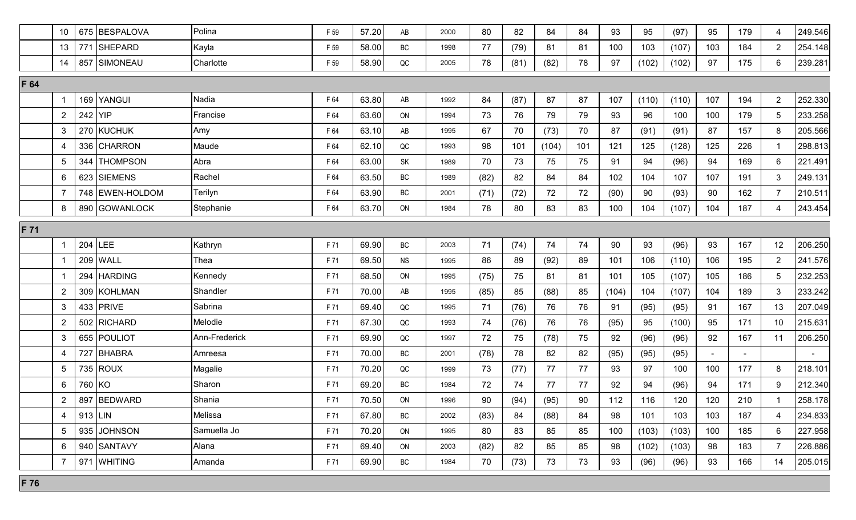|      | 10              |         | 675 BESPALOVA   | Polina        | F 59 | 57.20 | AB        | 2000 | 80   | 82   | 84    | 84  | 93    | 95    | (97)  | 95  | 179 | 4              | 249.546 |
|------|-----------------|---------|-----------------|---------------|------|-------|-----------|------|------|------|-------|-----|-------|-------|-------|-----|-----|----------------|---------|
|      | 13              |         | 771 SHEPARD     | Kayla         | F 59 | 58.00 | BC        | 1998 | 77   | (79) | 81    | 81  | 100   | 103   | (107) | 103 | 184 | 2 <sup>1</sup> | 254.148 |
|      | 14              |         | 857 SIMONEAU    | Charlotte     | F 59 | 58.90 | QC        | 2005 | 78   | (81) | (82)  | 78  | 97    | (102) | (102) | 97  | 175 | 6              | 239.281 |
| F 64 |                 |         |                 |               |      |       |           |      |      |      |       |     |       |       |       |     |     |                |         |
|      | 1               |         | 169 YANGUI      | Nadia         | F 64 | 63.80 | AB        | 1992 | 84   | (87) | 87    | 87  | 107   | (110) | (110) | 107 | 194 | $\overline{2}$ | 252.330 |
|      | $2^{\circ}$     | 242 YIP |                 | Francise      | F 64 | 63.60 | ON        | 1994 | 73   | 76   | 79    | 79  | 93    | 96    | 100   | 100 | 179 | 5              | 233.258 |
|      | 3               |         | 270 KUCHUK      | Amy           | F 64 | 63.10 | AB        | 1995 | 67   | 70   | (73)  | 70  | 87    | (91)  | (91)  | 87  | 157 | 8              | 205.566 |
|      | 4               |         | 336 CHARRON     | Maude         | F 64 | 62.10 | QC        | 1993 | 98   | 101  | (104) | 101 | 121   | 125   | (128) | 125 | 226 |                | 298.813 |
|      | 5               |         | 344 THOMPSON    | Abra          | F 64 | 63.00 | <b>SK</b> | 1989 | 70   | 73   | 75    | 75  | 91    | 94    | (96)  | 94  | 169 | 6              | 221.491 |
|      | 6               |         | 623 SIEMENS     | Rachel        | F 64 | 63.50 | BC        | 1989 | (82) | 82   | 84    | 84  | 102   | 104   | 107   | 107 | 191 | 3 <sup>1</sup> | 249.131 |
|      |                 |         | 748 EWEN-HOLDOM | Terilyn       | F 64 | 63.90 | BC        | 2001 | (71) | (72) | 72    | 72  | (90)  | 90    | (93)  | 90  | 162 | $7^{\circ}$    | 210.511 |
|      | 8               |         | 890 GOWANLOCK   | Stephanie     | F 64 | 63.70 | ON        | 1984 | 78   | 80   | 83    | 83  | 100   | 104   | (107) | 104 | 187 | 4              | 243.454 |
| F 71 |                 |         |                 |               |      |       |           |      |      |      |       |     |       |       |       |     |     |                |         |
|      |                 | 204 LEE |                 | Kathryn       | F 71 | 69.90 | BC        | 2003 | 71   | (74) | 74    | 74  | 90    | 93    | (96)  | 93  | 167 | 12             | 206.250 |
|      |                 |         | 209 WALL        | Thea          | F 71 | 69.50 | <b>NS</b> | 1995 | 86   | 89   | (92)  | 89  | 101   | 106   | (110) | 106 | 195 | $2^{\circ}$    | 241.576 |
|      |                 |         | 294 HARDING     | Kennedy       | F 71 | 68.50 | ON        | 1995 | (75) | 75   | 81    | 81  | 101   | 105   | (107) | 105 | 186 | 5              | 232.253 |
|      | $\overline{2}$  |         | 309 KOHLMAN     | Shandler      | F 71 | 70.00 | AB        | 1995 | (85) | 85   | (88)  | 85  | (104) | 104   | (107) | 104 | 189 | 3 <sup>1</sup> | 233.242 |
|      | 3               |         | 433 PRIVE       | Sabrina       | F 71 | 69.40 | QC        | 1995 | 71   | (76) | 76    | 76  | 91    | (95)  | (95)  | 91  | 167 | 13             | 207.049 |
|      | $\overline{2}$  |         | 502 RICHARD     | Melodie       | F 71 | 67.30 | QC        | 1993 | 74   | (76) | 76    | 76  | (95)  | 95    | (100) | 95  | 171 | 10             | 215.631 |
|      | 3               |         | 655 POULIOT     | Ann-Frederick | F 71 | 69.90 | $\sf QC$  | 1997 | 72   | 75   | (78)  | 75  | 92    | (96)  | (96)  | 92  | 167 | 11             | 206.250 |
|      | 4               |         | 727 BHABRA      | Amreesa       | F 71 | 70.00 | BC        | 2001 | (78) | 78   | 82    | 82  | (95)  | (95)  | (95)  |     |     |                |         |
|      | 5               |         | 735 ROUX        | Magalie       | F 71 | 70.20 | QC        | 1999 | 73   | (77) | 77    | 77  | 93    | 97    | 100   | 100 | 177 | 8              | 218.101 |
|      | 6               | 760 KO  |                 | Sharon        | F 71 | 69.20 | BC        | 1984 | 72   | 74   | 77    | 77  | 92    | 94    | (96)  | 94  | 171 | 9              | 212.340 |
|      | $\overline{2}$  |         | 897 BEDWARD     | Shania        | F 71 | 70.50 | ON        | 1996 | 90   | (94) | (95)  | 90  | 112   | 116   | 120   | 120 | 210 |                | 258.178 |
|      | 4               | 913 LIN |                 | Melissa       | F 71 | 67.80 | BC        | 2002 | (83) | 84   | (88)  | 84  | 98    | 101   | 103   | 103 | 187 | 4              | 234.833 |
|      | $5\overline{)}$ |         | 935 JOHNSON     | Samuella Jo   | F 71 | 70.20 | ON        | 1995 | 80   | 83   | 85    | 85  | 100   | (103) | (103) | 100 | 185 | 6              | 227.958 |
|      | 6               |         | 940 SANTAVY     | Alana         | F 71 | 69.40 | ON        | 2003 | (82) | 82   | 85    | 85  | 98    | (102) | (103) | 98  | 183 | $\overline{7}$ | 226.886 |
|      | $\overline{7}$  |         | 971 WHITING     | Amanda        | F 71 | 69.90 | BC        | 1984 | 70   | (73) | 73    | 73  | 93    | (96)  | (96)  | 93  | 166 | 14             | 205.015 |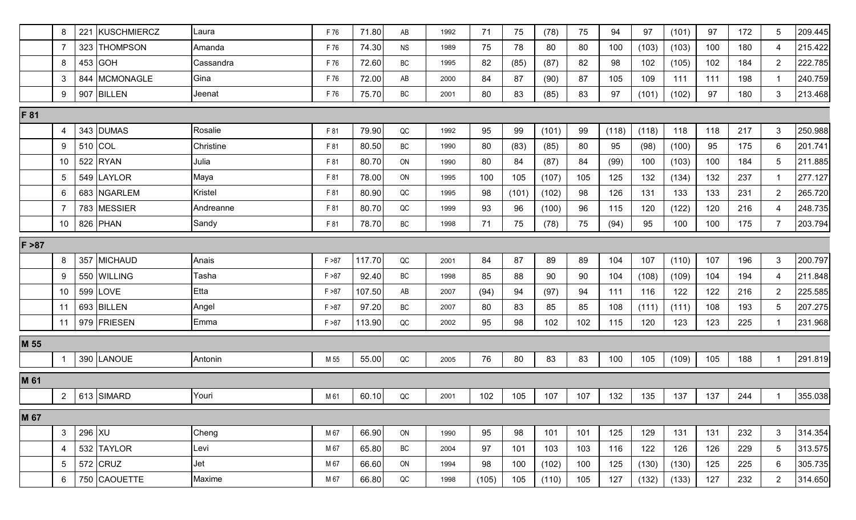|        | 8               | 221    | <b>KUSCHMIERCZ</b> | Laura     | F 76   | 71.80  | AB        | 1992 | 71    | 75    | (78)  | 75  | 94    | 97    | (101) | 97  | 172 | 5              | 209.445 |
|--------|-----------------|--------|--------------------|-----------|--------|--------|-----------|------|-------|-------|-------|-----|-------|-------|-------|-----|-----|----------------|---------|
|        | $\overline{7}$  |        | 323 THOMPSON       | Amanda    | F 76   | 74.30  | <b>NS</b> | 1989 | 75    | 78    | 80    | 80  | 100   | (103) | (103) | 100 | 180 | 4              | 215.422 |
|        | 8               | 453    | <b>GOH</b>         | Cassandra | F 76   | 72.60  | BC        | 1995 | 82    | (85)  | (87)  | 82  | 98    | 102   | (105) | 102 | 184 | $2^{\circ}$    | 222.785 |
|        | 3               | 844    | MCMONAGLE          | Gina      | F 76   | 72.00  | AB        | 2000 | 84    | 87    | (90)  | 87  | 105   | 109   | 111   | 111 | 198 | $\mathbf{1}$   | 240.759 |
|        | 9               |        | 907 BILLEN         | Jeenat    | F 76   | 75.70  | BC        | 2001 | 80    | 83    | (85)  | 83  | 97    | (101) | (102) | 97  | 180 | 3 <sup>1</sup> | 213.468 |
| F 81   |                 |        |                    |           |        |        |           |      |       |       |       |     |       |       |       |     |     |                |         |
|        | $\overline{4}$  |        | 343 DUMAS          | Rosalie   | F 81   | 79.90  | $\sf QC$  | 1992 | 95    | 99    | (101) | 99  | (118) | (118) | 118   | 118 | 217 | 3              | 250.988 |
|        | 9               |        | 510 COL            | Christine | F 81   | 80.50  | BC        | 1990 | 80    | (83)  | (85)  | 80  | 95    | (98)  | (100) | 95  | 175 | 6              | 201.741 |
|        | 10              |        | 522 RYAN           | Julia     | F 81   | 80.70  | ON        | 1990 | 80    | 84    | (87)  | 84  | (99)  | 100   | (103) | 100 | 184 | 5 <sup>5</sup> | 211.885 |
|        | 5 <sup>5</sup>  |        | 549 LAYLOR         | Maya      | F 81   | 78.00  | ON        | 1995 | 100   | 105   | (107) | 105 | 125   | 132   | (134) | 132 | 237 |                | 277.127 |
|        | 6               |        | 683 NGARLEM        | Kristel   | F 81   | 80.90  | QC        | 1995 | 98    | (101) | (102) | 98  | 126   | 131   | 133   | 133 | 231 | $2^{\circ}$    | 265.720 |
|        | $\overline{7}$  |        | 783 MESSIER        | Andreanne | F 81   | 80.70  | $\sf QC$  | 1999 | 93    | 96    | (100) | 96  | 115   | 120   | (122) | 120 | 216 | 4              | 248.735 |
|        | 10 <sup>°</sup> |        | 826 PHAN           | Sandy     | F 81   | 78.70  | ВC        | 1998 | 71    | 75    | (78)  | 75  | (94)  | 95    | 100   | 100 | 175 | $7^{\circ}$    | 203.794 |
| F > 87 |                 |        |                    |           |        |        |           |      |       |       |       |     |       |       |       |     |     |                |         |
|        | 8               |        | 357 MICHAUD        | Anais     | F > 87 | 117.70 | QC        | 2001 | 84    | 87    | 89    | 89  | 104   | 107   | (110) | 107 | 196 | 3 <sup>1</sup> | 200.797 |
|        | 9               |        | 550 WILLING        | Tasha     | F > 87 | 92.40  | BC        | 1998 | 85    | 88    | 90    | 90  | 104   | (108) | (109) | 104 | 194 | 4              | 211.848 |
|        | 10              |        | 599 LOVE           | Etta      | F > 87 | 107.50 | AB        | 2007 | (94)  | 94    | (97)  | 94  | 111   | 116   | 122   | 122 | 216 | $\overline{2}$ | 225.585 |
|        | 11              |        | 693 BILLEN         | Angel     | F > 87 | 97.20  | BC        | 2007 | 80    | 83    | 85    | 85  | 108   | (111) | (111) | 108 | 193 | 5              | 207.275 |
|        | 11              |        | 979 FRIESEN        | Emma      | F > 87 | 113.90 | QC        | 2002 | 95    | 98    | 102   | 102 | 115   | 120   | 123   | 123 | 225 |                | 231.968 |
| M 55   |                 |        |                    |           |        |        |           |      |       |       |       |     |       |       |       |     |     |                |         |
|        |                 |        | 390 LANOUE         | Antonin   | M 55   | 55.00  | QC        | 2005 | 76    | 80    | 83    | 83  | 100   | 105   | (109) | 105 | 188 |                | 291.819 |
| M 61   |                 |        |                    |           |        |        |           |      |       |       |       |     |       |       |       |     |     |                |         |
|        | 2 <sup>1</sup>  |        | 613 SIMARD         | Youri     | M 61   | 60.10  | QC        | 2001 | 102   | 105   | 107   | 107 | 132   | 135   | 137   | 137 | 244 |                | 355.038 |
| M 67   |                 |        |                    |           |        |        |           |      |       |       |       |     |       |       |       |     |     |                |         |
|        | $\mathbf{3}$    | 296 XU |                    | Cheng     | M 67   | 66.90  | ON        | 1990 | 95    | 98    | 101   | 101 | 125   | 129   | 131   | 131 | 232 | 3 <sup>1</sup> | 314.354 |
|        | $\overline{4}$  |        | 532 TAYLOR         | Levi      | M 67   | 65.80  | BC        | 2004 | 97    | 101   | 103   | 103 | 116   | 122   | 126   | 126 | 229 | 5              | 313.575 |
|        | $5\phantom{.0}$ |        | $572$ CRUZ         | Jet       | M 67   | 66.60  | ON        | 1994 | 98    | 100   | (102) | 100 | 125   | (130) | (130) | 125 | 225 | 6              | 305.735 |
|        | 6               |        | 750 CAOUETTE       | Maxime    | M 67   | 66.80  | $\sf QC$  | 1998 | (105) | 105   | (110) | 105 | 127   | (132) | (133) | 127 | 232 | $\overline{2}$ | 314.650 |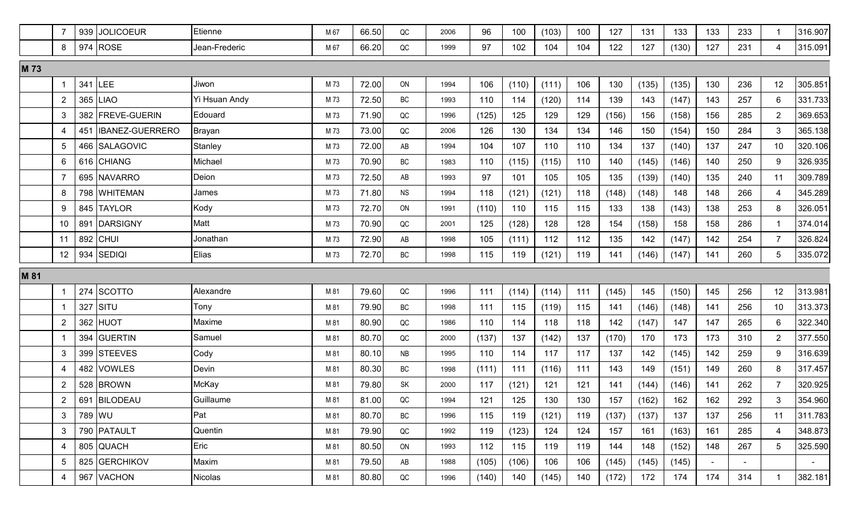|      | $\overline{7}$  |     | 939 JOLICOEUR          | Etienne       | M 67 | 66.50 | QC        | 2006 | 96    | 100   | (103) | 100 | 127   | 131   | 133   | 133    | 233    | $\mathbf{1}$    | 316.907          |
|------|-----------------|-----|------------------------|---------------|------|-------|-----------|------|-------|-------|-------|-----|-------|-------|-------|--------|--------|-----------------|------------------|
|      | 8               |     | 974 ROSE               | Jean-Frederic | M 67 | 66.20 | QC        | 1999 | 97    | 102   | 104   | 104 | 122   | 127   | (130) | 127    | 231    | $\overline{4}$  | 315.091          |
| M 73 |                 |     |                        |               |      |       |           |      |       |       |       |     |       |       |       |        |        |                 |                  |
|      | 1               |     | 341 LEE                | Jiwon         | M 73 | 72.00 | ON        | 1994 | 106   | (110) | (111) | 106 | 130   | (135) | (135) | 130    | 236    | 12              | 305.851          |
|      | $\overline{2}$  |     | 365 LIAO               | Yi Hsuan Andy | M 73 | 72.50 | <b>BC</b> | 1993 | 110   | 114   | (120) | 114 | 139   | 143   | (147) | 143    | 257    | 6               | 331.733          |
|      | 3               |     | 382 FREVE-GUERIN       | Edouard       | M 73 | 71.90 | QC        | 1996 | (125) | 125   | 129   | 129 | (156) | 156   | (158) | 156    | 285    | 2 <sup>7</sup>  | 369.653          |
|      | $\overline{4}$  | 451 | <b>IBANEZ-GUERRERO</b> | <b>Brayan</b> | M 73 | 73.00 | QC        | 2006 | 126   | 130   | 134   | 134 | 146   | 150   | (154) | 150    | 284    | 3 <sup>1</sup>  | 365.138          |
|      | $5\overline{)}$ |     | 466 SALAGOVIC          | Stanley       | M 73 | 72.00 | AB        | 1994 | 104   | 107   | 110   | 110 | 134   | 137   | (140) | 137    | 247    | 10              | 320.106          |
|      | 6               |     | 616 CHIANG             | Michael       | M 73 | 70.90 | BC        | 1983 | 110   | (115) | (115) | 110 | 140   | (145) | (146) | 140    | 250    | 9               | 326.935          |
|      | $\overline{7}$  |     | 695 NAVARRO            | Deion         | M 73 | 72.50 | AB        | 1993 | 97    | 101   | 105   | 105 | 135   | (139) | (140) | 135    | 240    | 11              | 309.789          |
|      | 8               |     | 798 WHITEMAN           | James         | M 73 | 71.80 | <b>NS</b> | 1994 | 118   | (121) | (121) | 118 | (148) | (148) | 148   | 148    | 266    | $\overline{4}$  | 345.289          |
|      | 9               |     | 845 TAYLOR             | Kody          | M 73 | 72.70 | ON        | 1991 | (110) | 110   | 115   | 115 | 133   | 138   | (143) | 138    | 253    | 8               | 326.051          |
|      | 10              | 891 | <b>DARSIGNY</b>        | Matt          | M 73 | 70.90 | $\sf QC$  | 2001 | 125   | (128) | 128   | 128 | 154   | (158) | 158   | 158    | 286    | $\mathbf{1}$    | 374.014          |
|      | 11              |     | 892 CHUI               | Jonathan      | M 73 | 72.90 | AB        | 1998 | 105   | (111) | 112   | 112 | 135   | 142   | (147) | 142    | 254    | $\overline{7}$  | 326.824          |
|      | 12 <sub>2</sub> | 934 | <b>SEDIQI</b>          | Elias         | M 73 | 72.70 | BC        | 1998 | 115   | 119   | (121) | 119 | 141   | (146) | (147) | 141    | 260    | 5               | 335.072          |
| M 81 |                 |     |                        |               |      |       |           |      |       |       |       |     |       |       |       |        |        |                 |                  |
|      | $\mathbf{1}$    | 274 | <b>SCOTTO</b>          | Alexandre     | M 81 | 79.60 | QC        | 1996 | 111   | (114) | (114) | 111 | (145) | 145   | (150) | 145    | 256    | 12              | 313.981          |
|      |                 | 327 | SITU                   | Tony          | M 81 | 79.90 | <b>BC</b> | 1998 | 111   | 115   | (119) | 115 | 141   | (146) | (148) | 141    | 256    | 10              | 313.373          |
|      | $\overline{2}$  | 362 | <b>HUOT</b>            | Maxime        | M 81 | 80.90 | QC        | 1986 | 110   | 114   | 118   | 118 | 142   | (147) | 147   | 147    | 265    | $6\overline{6}$ | 322.340          |
|      |                 |     | 394 GUERTIN            | Samuel        | M 81 | 80.70 | QC        | 2000 | (137) | 137   | (142) | 137 | (170) | 170   | 173   | 173    | 310    | 2 <sup>1</sup>  | 377.550          |
|      | 3               |     | 399 STEEVES            | Cody          | M 81 | 80.10 | NB        | 1995 | 110   | 114   | 117   | 117 | 137   | 142   | (145) | 142    | 259    | 9               | 316.639          |
|      | 4               | 482 | <b>VOWLES</b>          | Devin         | M 81 | 80.30 | BC        | 1998 | (111) | 111   | (116) | 111 | 143   | 149   | (151) | 149    | 260    | 8               | 317.457          |
|      | $\overline{2}$  | 528 | <b>BROWN</b>           | McKay         | M 81 | 79.80 | SK        | 2000 | 117   | (121) | 121   | 121 | 141   | (144) | (146) | 141    | 262    | $\overline{7}$  | 320.925          |
|      | $\overline{2}$  |     | 691 BILODEAU           | Guillaume     | M 81 | 81.00 | QC        | 1994 | 121   | 125   | 130   | 130 | 157   | (162) | 162   | 162    | 292    | 3               | 354.960          |
|      | 3               |     | 789 WU                 | Pat           | M 81 | 80.70 | BC        | 1996 | 115   | 119   | (121) | 119 | (137) | (137) | 137   | 137    | 256    | 11              | 311.783          |
|      | 3               |     | 790 PATAULT            | Quentin       | M 81 | 79.90 | $\sf QC$  | 1992 | 119   | (123) | 124   | 124 | 157   | 161   | (163) | 161    | 285    | $\overline{4}$  | 348.873          |
|      | 4               |     | 805 QUACH              | Eric          | M 81 | 80.50 | ON        | 1993 | 112   | 115   | 119   | 119 | 144   | 148   | (152) | 148    | 267    | 5               | 325.590          |
|      | 5 <sup>5</sup>  |     | 825 GERCHIKOV          | Maxim         | M 81 | 79.50 | AB        | 1988 | (105) | (106) | 106   | 106 | (145) | (145) | (145) | $\sim$ | $\sim$ |                 | $\sim$ 100 $\mu$ |
|      | $\overline{4}$  |     | 967 VACHON             | Nicolas       | M 81 | 80.80 | QC        | 1996 | (140) | 140   | (145) | 140 | (172) | 172   | 174   | 174    | 314    | $\mathbf 1$     | 382.181          |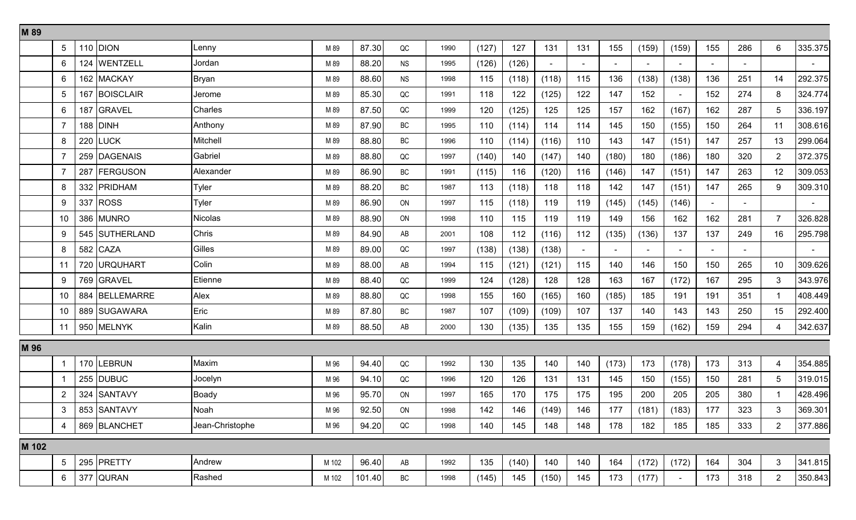| M 89  |                 |     |                 |                 |       |        |           |      |       |       |       |        |        |        |                          |                |                |                |                     |
|-------|-----------------|-----|-----------------|-----------------|-------|--------|-----------|------|-------|-------|-------|--------|--------|--------|--------------------------|----------------|----------------|----------------|---------------------|
|       | $5\phantom{.0}$ |     | 110 DION        | Lenny           | M 89  | 87.30  | QC        | 1990 | (127) | 127   | 131   | 131    | 155    | (159)  | (159)                    | 155            | 286            | 6              | 335.375             |
|       | 6               |     | 124 WENTZELL    | Jordan          | M 89  | 88.20  | <b>NS</b> | 1995 | (126) | (126) |       |        | $\sim$ |        | $\overline{\phantom{a}}$ |                |                |                |                     |
|       | $6\phantom{.}6$ |     | 162 MACKAY      | <b>Bryan</b>    | M 89  | 88.60  | <b>NS</b> | 1998 | 115   | (118) | (118) | 115    | 136    | (138)  | (138)                    | 136            | 251            | 14             | 292.375             |
|       | $5\phantom{.0}$ |     | 167 BOISCLAIR   | Jerome          | M 89  | 85.30  | QC        | 1991 | 118   | 122   | (125) | 122    | 147    | 152    | $\sim$                   | 152            | 274            | 8              | 324.774             |
|       | 6               |     | 187 GRAVEL      | Charles         | M 89  | 87.50  | QC        | 1999 | 120   | (125) | 125   | 125    | 157    | 162    | (167)                    | 162            | 287            | 5              | 336.197             |
|       | $\overline{7}$  |     | 188 DINH        | Anthony         | M 89  | 87.90  | BC        | 1995 | 110   | (114) | 114   | 114    | 145    | 150    | (155)                    | 150            | 264            | 11             | 308.616             |
|       | 8               |     | <b>220 LUCK</b> | Mitchell        | M 89  | 88.80  | ВC        | 1996 | 110   | (114) | (116) | 110    | 143    | 147    | (151)                    | 147            | 257            | 13             | 299.064             |
|       |                 |     | 259 DAGENAIS    | Gabriel         | M 89  | 88.80  | QC        | 1997 | (140) | 140   | (147) | 140    | (180)  | 180    | (186)                    | 180            | 320            | $\overline{2}$ | 372.375             |
|       | $\overline{7}$  |     | 287 FERGUSON    | Alexander       | M 89  | 86.90  | ВC        | 1991 | (115) | 116   | (120) | 116    | (146)  | 147    | (151)                    | 147            | 263            | 12             | 309.053             |
|       | 8               |     | 332 PRIDHAM     | Tyler           | M 89  | 88.20  | ВC        | 1987 | 113   | (118) | 118   | 118    | 142    | 147    | (151)                    | 147            | 265            | 9              | 309.310             |
|       | 9               |     | 337 ROSS        | Tyler           | M 89  | 86.90  | ON        | 1997 | 115   | (118) | 119   | 119    | (145)  | (145)  | (146)                    | $\sim$         | $\blacksquare$ |                | $\omega_{\rm{max}}$ |
|       | 10              |     | 386 MUNRO       | Nicolas         | M 89  | 88.90  | ON        | 1998 | 110   | 115   | 119   | 119    | 149    | 156    | 162                      | 162            | 281            | $\overline{7}$ | 326.828             |
|       | 9               |     | 545 SUTHERLAND  | Chris           | M 89  | 84.90  | AB        | 2001 | 108   | 112   | (116) | 112    | (135)  | (136)  | 137                      | 137            | 249            | 16             | 295.798             |
|       | 8               | 582 | <b>CAZA</b>     | Gilles          | M 89  | 89.00  | QC        | 1997 | (138) | (138) | (138) | $\sim$ | $\sim$ | $\sim$ | $\blacksquare$           | $\blacksquare$ |                |                | $\sim$ 10 $\pm$     |
|       | 11              |     | 720 URQUHART    | Colin           | M 89  | 88.00  | AB        | 1994 | 115   | (121) | (121) | 115    | 140    | 146    | 150                      | 150            | 265            | 10             | 309.626             |
|       | 9               |     | 769 GRAVEL      | Etienne         | M 89  | 88.40  | QC        | 1999 | 124   | (128) | 128   | 128    | 163    | 167    | (172)                    | 167            | 295            | 3 <sup>1</sup> | 343.976             |
|       | 10              |     | 884 BELLEMARRE  | Alex            | M 89  | 88.80  | QC        | 1998 | 155   | 160   | (165) | 160    | (185)  | 185    | 191                      | 191            | 351            | $\mathbf{1}$   | 408.449             |
|       | 10              |     | 889 SUGAWARA    | Eric            | M 89  | 87.80  | BC        | 1987 | 107   | (109) | (109) | 107    | 137    | 140    | 143                      | 143            | 250            | 15             | 292.400             |
|       | 11              |     | 950 MELNYK      | Kalin           | M 89  | 88.50  | AB        | 2000 | 130   | (135) | 135   | 135    | 155    | 159    | (162)                    | 159            | 294            | 4              | 342.637             |
| M 96  |                 |     |                 |                 |       |        |           |      |       |       |       |        |        |        |                          |                |                |                |                     |
|       | $\overline{1}$  |     | 170 LEBRUN      | Maxim           | M 96  | 94.40  | QC        | 1992 | 130   | 135   | 140   | 140    | (173)  | 173    | (178)                    | 173            | 313            | 4              | 354.885             |
|       | $\overline{1}$  |     | 255 DUBUC       | Jocelyn         | M 96  | 94.10  | QC        | 1996 | 120   | 126   | 131   | 131    | 145    | 150    | (155)                    | 150            | 281            | 5              | 319.015             |
|       | $\overline{2}$  |     | 324 SANTAVY     | <b>Boady</b>    | M 96  | 95.70  | ON        | 1997 | 165   | 170   | 175   | 175    | 195    | 200    | 205                      | 205            | 380            | $\mathbf 1$    | 428.496             |
|       | $\mathbf{3}$    |     | 853 SANTAVY     | Noah            | M 96  | 92.50  | ON        | 1998 | 142   | 146   | (149) | 146    | 177    | (181)  | (183)                    | 177            | 323            | 3 <sup>1</sup> | 369.301             |
|       | 4               |     | 869 BLANCHET    | Jean-Christophe | M 96  | 94.20  | QC        | 1998 | 140   | 145   | 148   | 148    | 178    | 182    | 185                      | 185            | 333            | 2 <sup>7</sup> | 377.886             |
| M 102 |                 |     |                 |                 |       |        |           |      |       |       |       |        |        |        |                          |                |                |                |                     |
|       | $5\overline{)}$ |     | 295 PRETTY      | Andrew          | M 102 | 96.40  | AB        | 1992 | 135   | (140) | 140   | 140    | 164    | (172)  | (172)                    | 164            | 304            | 3              | 341.815             |
|       | 6               |     | 377 QURAN       | Rashed          | M 102 | 101.40 | ВC        | 1998 | (145) | 145   | (150) | 145    | 173    | (177)  |                          | 173            | 318            | $\overline{2}$ | 350.843             |